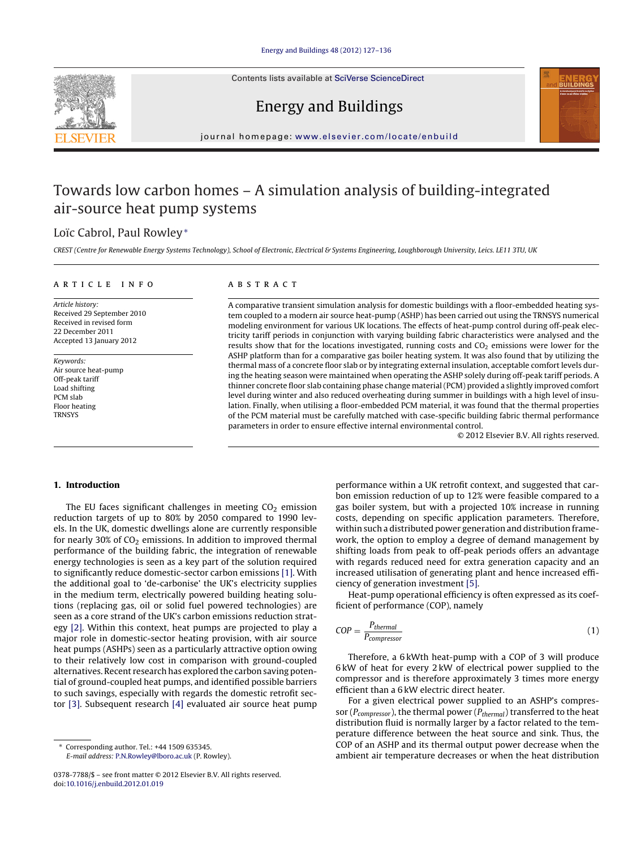Contents lists available at SciVerse [ScienceDirect](http://www.sciencedirect.com/science/journal/03787788)





## Energy and Buildings

iournal homepage: [www.elsevier.com/locate/enbuild](http://www.elsevier.com/locate/enbuild)

## Towards low carbon homes – A simulation analysis of building-integrated air-source heat pump systems

### Loïc Cabrol, Paul Rowley<sup>∗</sup>

CREST (Centre for Renewable Energy Systems Technology), School of Electronic, Electrical & Systems Engineering, Loughborough University, Leics. LE11 3TU, UK

#### a r t i c l e i n f o

Article history: Received 29 September 2010 Received in revised form 22 December 2011 Accepted 13 January 2012

Keywords: Air source heat-pump Off-peak tariff Load shifting PCM slab Floor heating **TRNSYS** 

#### A B S T R A C T

A comparative transient simulation analysis for domestic buildings with a floor-embedded heating system coupled to a modern air source heat-pump (ASHP) has been carried out using the TRNSYS numerical modeling environment for various UK locations. The effects of heat-pump control during off-peak electricity tariff periods in conjunction with varying building fabric characteristics were analysed and the results show that for the locations investigated, running costs and CO<sub>2</sub> emissions were lower for the ASHP platform than for a comparative gas boiler heating system. It was also found that by utilizing the thermal mass of a concrete floor slab or by integrating external insulation, acceptable comfort levels during the heating season were maintained when operating the ASHP solely during off-peak tariff periods. A thinner concrete floor slab containing phase change material(PCM) provided a slightly improved comfort level during winter and also reduced overheating during summer in buildings with a high level of insulation. Finally, when utilising a floor-embedded PCM material, it was found that the thermal properties of the PCM material must be carefully matched with case-specific building fabric thermal performance parameters in order to ensure effective internal environmental control.

© 2012 Elsevier B.V. All rights reserved.

#### **1. Introduction**

The EU faces significant challenges in meeting  $CO<sub>2</sub>$  emission reduction targets of up to 80% by 2050 compared to 1990 levels. In the UK, domestic dwellings alone are currently responsible for nearly 30% of  $CO<sub>2</sub>$  emissions. In addition to improved thermal performance of the building fabric, the integration of renewable energy technologies is seen as a key part of the solution required to significantly reduce domestic-sector carbon emissions [\[1\].](#page--1-0) With the additional goal to 'de-carbonise' the UK's electricity supplies in the medium term, electrically powered building heating solutions (replacing gas, oil or solid fuel powered technologies) are seen as a core strand of the UK's carbon emissions reduction strategy [\[2\].](#page--1-0) Within this context, heat pumps are projected to play a major role in domestic-sector heating provision, with air source heat pumps (ASHPs) seen as a particularly attractive option owing to their relatively low cost in comparison with ground-coupled alternatives. Recent research has explored the carbon saving potential of ground-coupled heat pumps, and identified possible barriers to such savings, especially with regards the domestic retrofit sector [\[3\].](#page--1-0) Subsequent research [\[4\]](#page--1-0) evaluated air source heat pump

∗ Corresponding author. Tel.: +44 1509 635345. E-mail address: [P.N.Rowley@lboro.ac.uk](mailto:P.N.Rowley@lboro.ac.uk) (P. Rowley).

performance within a UK retrofit context, and suggested that carbon emission reduction of up to 12% were feasible compared to a gas boiler system, but with a projected 10% increase in running costs, depending on specific application parameters. Therefore, within such a distributed power generation and distribution framework, the option to employ a degree of demand management by shifting loads from peak to off-peak periods offers an advantage with regards reduced need for extra generation capacity and an increased utilisation of generating plant and hence increased efficiency of generation investment [\[5\].](#page--1-0)

Heat-pump operational efficiency is often expressed as its coefficient of performance (COP), namely

$$
COP = \frac{P_{thermal}}{P_{compressor}}
$$
 (1)

Therefore, a 6 kWth heat-pump with a COP of 3 will produce 6 kW of heat for every 2 kW of electrical power supplied to the compressor and is therefore approximately 3 times more energy efficient than a 6 kW electric direct heater.

For a given electrical power supplied to an ASHP's compressor ( $P_{compressor}$ ), the thermal power ( $P_{thermal}$ ) transferred to the heat distribution fluid is normally larger by a factor related to the temperature difference between the heat source and sink. Thus, the COP of an ASHP and its thermal output power decrease when the ambient air temperature decreases or when the heat distribution

<sup>0378-7788/\$</sup> – see front matter © 2012 Elsevier B.V. All rights reserved. doi:[10.1016/j.enbuild.2012.01.019](dx.doi.org/10.1016/j.enbuild.2012.01.019)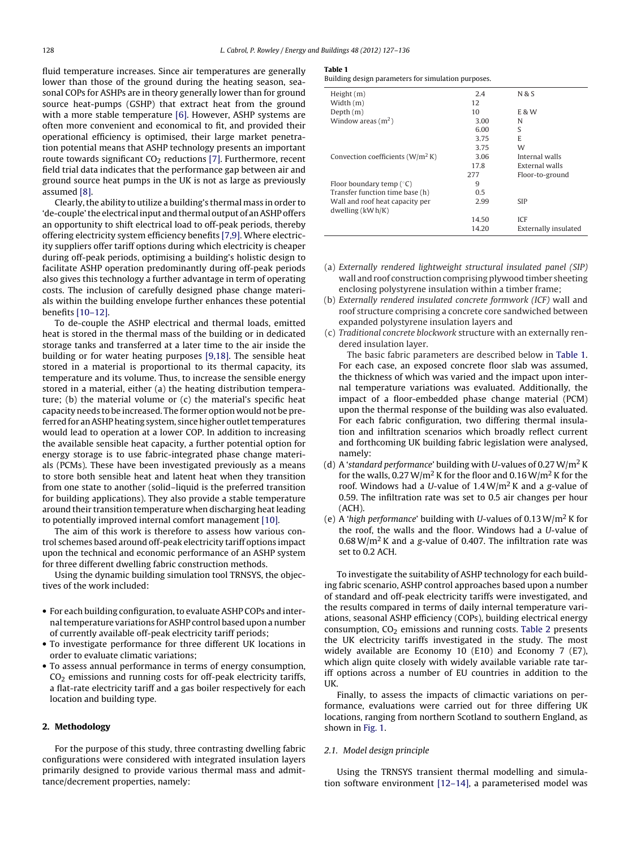fluid temperature increases. Since air temperatures are generally lower than those of the ground during the heating season, seasonal COPs for ASHPs are in theory generally lower than for ground source heat-pumps (GSHP) that extract heat from the ground with a more stable temperature [\[6\].](#page--1-0) However, ASHP systems are often more convenient and economical to fit, and provided their operational efficiency is optimised, their large market penetration potential means that ASHP technology presents an important route towards significant  $CO<sub>2</sub>$  reductions [\[7\].](#page--1-0) Furthermore, recent field trial data indicates that the performance gap between air and ground source heat pumps in the UK is not as large as previously assumed [\[8\].](#page--1-0)

Clearly, the ability to utilize a building's thermal mass in order to 'de-couple' the electrical input and thermal output of an ASHP offers an opportunity to shift electrical load to off-peak periods, thereby offering electricity system efficiency benefits [\[7,9\].](#page--1-0) Where electricity suppliers offer tariff options during which electricity is cheaper during off-peak periods, optimising a building's holistic design to facilitate ASHP operation predominantly during off-peak periods also gives this technology a further advantage in term of operating costs. The inclusion of carefully designed phase change materials within the building envelope further enhances these potential benefits [\[10–12\].](#page--1-0)

To de-couple the ASHP electrical and thermal loads, emitted heat is stored in the thermal mass of the building or in dedicated storage tanks and transferred at a later time to the air inside the building or for water heating purposes [\[9,18\].](#page--1-0) The sensible heat stored in a material is proportional to its thermal capacity, its temperature and its volume. Thus, to increase the sensible energy stored in a material, either (a) the heating distribution temperature; (b) the material volume or (c) the material's specific heat capacity needs to be increased. The former option would not be preferred for an ASHP heating system, since higher outlet temperatures would lead to operation at a lower COP. In addition to increasing the available sensible heat capacity, a further potential option for energy storage is to use fabric-integrated phase change materials (PCMs). These have been investigated previously as a means to store both sensible heat and latent heat when they transition from one state to another (solid–liquid is the preferred transition for building applications). They also provide a stable temperature around their transition temperature when discharging heat leading to potentially improved internal comfort management [\[10\].](#page--1-0)

The aim of this work is therefore to assess how various control schemes based around off-peak electricity tariff options impact upon the technical and economic performance of an ASHP system for three different dwelling fabric construction methods.

Using the dynamic building simulation tool TRNSYS, the objectives of the work included:

- For each building configuration, to evaluate ASHP COPs and internaltemperature variations forASHP control based upon a number of currently available off-peak electricity tariff periods;
- To investigate performance for three different UK locations in order to evaluate climatic variations;
- To assess annual performance in terms of energy consumption,  $CO<sub>2</sub>$  emissions and running costs for off-peak electricity tariffs, a flat-rate electricity tariff and a gas boiler respectively for each location and building type.

#### **2. Methodology**

For the purpose of this study, three contrasting dwelling fabric configurations were considered with integrated insulation layers primarily designed to provide various thermal mass and admittance/decrement properties, namely:

#### **Table 1**

Building design parameters for simulation purposes.

| 2.4   | N & S                |
|-------|----------------------|
|       |                      |
|       |                      |
| 10    | <b>E&amp;W</b>       |
| 3.00  | N                    |
| 6.00  | S                    |
| 3.75  | E                    |
| 3.75  | W                    |
| 3.06  | Internal walls       |
| 17.8  | External walls       |
| 277   | Floor-to-ground      |
| 9     |                      |
| 0.5   |                      |
| 2.99  | <b>SIP</b>           |
|       |                      |
| 14.50 | <b>ICF</b>           |
| 14.20 | Externally insulated |
|       | 12                   |

- (a) Externally rendered lightweight structural insulated panel (SIP) wall and roof construction comprising plywood timber sheeting enclosing polystyrene insulation within a timber frame;
- (b) Externally rendered insulated concrete formwork (ICF) wall and roof structure comprising a concrete core sandwiched between expanded polystyrene insulation layers and
- (c) Traditional concrete blockwork structure with an externally rendered insulation layer.

The basic fabric parameters are described below in Table 1. For each case, an exposed concrete floor slab was assumed, the thickness of which was varied and the impact upon internal temperature variations was evaluated. Additionally, the impact of a floor-embedded phase change material (PCM) upon the thermal response of the building was also evaluated. For each fabric configuration, two differing thermal insulation and infiltration scenarios which broadly reflect current and forthcoming UK building fabric legislation were analysed, namely:

- (d) A 'standard performance' building with U-values of 0.27 W/m<sup>2</sup> K for the walls,  $0.27 \,\mathrm{W/m^2}$  K for the floor and  $0.16 \,\mathrm{W/m^2}$  K for the roof. Windows had a U-value of  $1.4 \,\mathrm{W/m^2}$  K and a g-value of 0.59. The infiltration rate was set to 0.5 air changes per hour  $(ACH)$
- (e) A 'high performance' building with U-values of 0.13 W/m<sup>2</sup> K for the roof, the walls and the floor. Windows had a U-value of  $0.68 \text{ W/m}^2$  K and a g-value of 0.407. The infiltration rate was set to 0.2 ACH.

To investigate the suitability of ASHP technology for each building fabric scenario, ASHP control approaches based upon a number of standard and off-peak electricity tariffs were investigated, and the results compared in terms of daily internal temperature variations, seasonal ASHP efficiency (COPs), building electrical energy consumption,  $CO<sub>2</sub>$  emissions and running costs. [Table](#page--1-0) 2 presents the UK electricity tariffs investigated in the study. The most widely available are Economy 10 (E10) and Economy 7 (E7), which align quite closely with widely available variable rate tariff options across a number of EU countries in addition to the UK.

Finally, to assess the impacts of climactic variations on performance, evaluations were carried out for three differing UK locations, ranging from northern Scotland to southern England, as shown in [Fig.](#page--1-0) 1.

#### 2.1. Model design principle

Using the TRNSYS transient thermal modelling and simulation software environment [\[12–14\],](#page--1-0) a parameterised model was